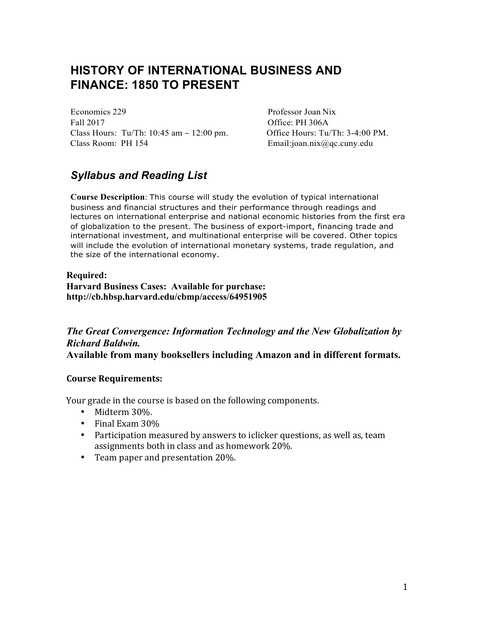## **HISTORY OF INTERNATIONAL BUSINESS AND FINANCE: 1850 TO PRESENT**

Economics 229 Professor Joan Nix Fall 2017 Contract Contract Contract Contract Office: PH 306A Class Hours: Tu/Th: 10:45 am – 12:00 pm. Office Hours: Tu/Th: 3-4:00 PM. Class Room: PH 154 Email:joan.nix@qc.cuny.edu

### *Syllabus and Reading List*

**Course Description**: This course will study the evolution of typical international business and financial structures and their performance through readings and lectures on international enterprise and national economic histories from the first era of globalization to the present. The business of export-import, financing trade and international investment, and multinational enterprise will be covered. Other topics will include the evolution of international monetary systems, trade regulation, and the size of the international economy.

#### **Required: Harvard Business Cases: Available for purchase: http://cb.hbsp.harvard.edu/cbmp/access/64951905**

*The Great Convergence: Information Technology and the New Globalization by Richard Baldwin.* **Available from many booksellers including Amazon and in different formats.**

#### **Course Requirements:**

Your grade in the course is based on the following components.

- Midterm 30%.
- Final Exam 30%
- Participation measured by answers to iclicker questions, as well as, team assignments both in class and as homework 20%.
- Team paper and presentation 20%.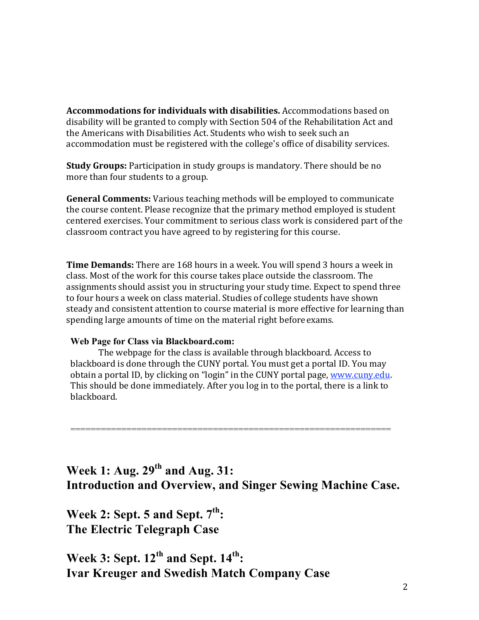**Accommodations for individuals with disabilities.** Accommodations based on disability will be granted to comply with Section 504 of the Rehabilitation Act and the Americans with Disabilities Act. Students who wish to seek such an accommodation must be registered with the college's office of disability services.

**Study Groups:** Participation in study groups is mandatory. There should be no more than four students to a group.

**General Comments:** Various teaching methods will be employed to communicate the course content. Please recognize that the primary method employed is student centered exercises. Your commitment to serious class work is considered part of the classroom contract you have agreed to by registering for this course.

**Time Demands:** There are 168 hours in a week. You will spend 3 hours a week in class. Most of the work for this course takes place outside the classroom. The assignments should assist you in structuring your study time. Expect to spend three to four hours a week on class material. Studies of college students have shown steady and consistent attention to course material is more effective for learning than spending large amounts of time on the material right before exams.

#### **Web Page for Class via Blackboard.com:**

The webpage for the class is available through blackboard. Access to blackboard is done through the CUNY portal. You must get a portal ID. You may obtain a portal ID, by clicking on "login" in the CUNY portal page, www.cuny.edu. This should be done immediately. After you log in to the portal, there is a link to blackboard.

===============================================================

**Week 1: Aug. 29th and Aug. 31: Introduction and Overview, and Singer Sewing Machine Case.**

**Week 2: Sept. 5 and Sept. 7th: The Electric Telegraph Case**

**Week 3: Sept. 12th and Sept. 14th: Ivar Kreuger and Swedish Match Company Case**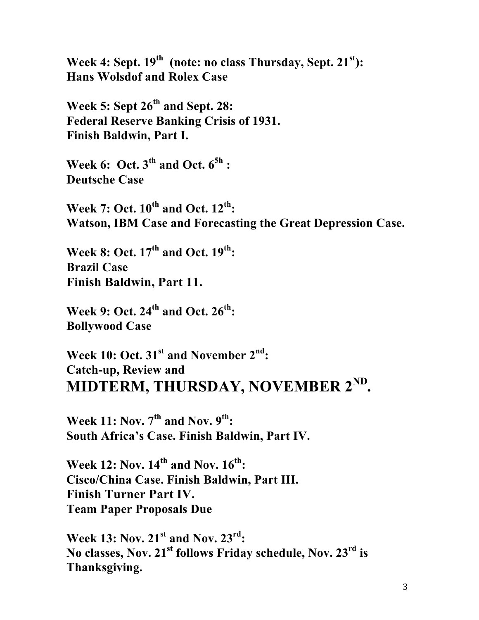Week 4: Sept. 19<sup>th</sup> (note: no class Thursday, Sept. 21<sup>st</sup>): **Hans Wolsdof and Rolex Case**

**Week 5: Sept 26th and Sept. 28: Federal Reserve Banking Crisis of 1931. Finish Baldwin, Part I.**

**Week 6: Oct. 3th and Oct. 65h : Deutsche Case** 

**Week 7: Oct. 10th and Oct. 12th: Watson, IBM Case and Forecasting the Great Depression Case.**

**Week 8: Oct. 17th and Oct. 19th: Brazil Case Finish Baldwin, Part 11.**

**Week 9: Oct. 24th and Oct. 26th: Bollywood Case**

**Week 10: Oct. 31st and November 2nd: Catch-up, Review and MIDTERM, THURSDAY, NOVEMBER 2ND.**

**Week 11: Nov. 7th and Nov. 9th: South Africa's Case. Finish Baldwin, Part IV.**

**Week 12: Nov. 14th and Nov. 16th: Cisco/China Case. Finish Baldwin, Part III. Finish Turner Part IV. Team Paper Proposals Due**

**Week 13: Nov. 21st and Nov. 23rd: No classes, Nov. 21st follows Friday schedule, Nov. 23rd is Thanksgiving.**